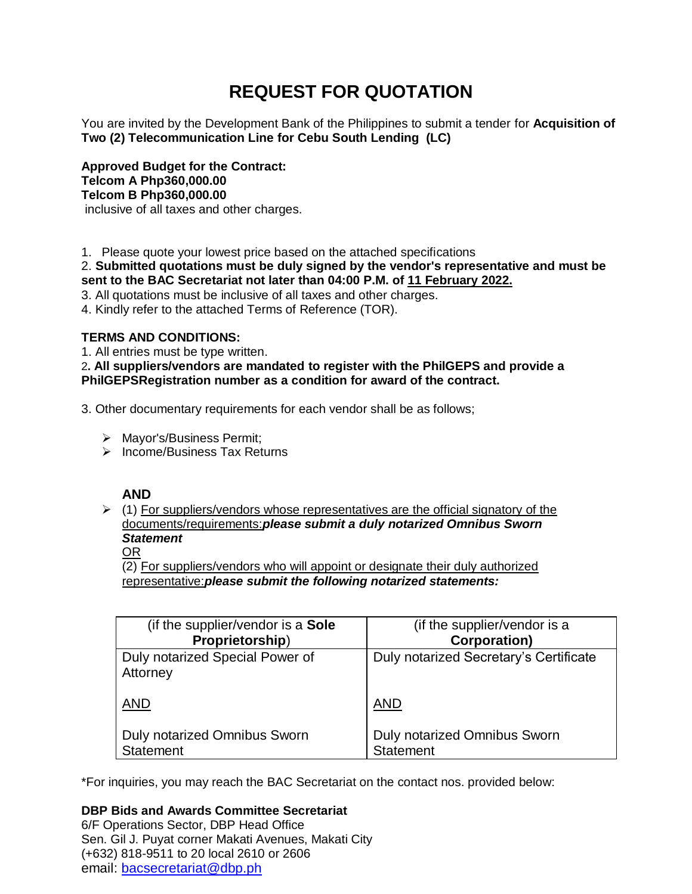# **REQUEST FOR QUOTATION**

You are invited by the Development Bank of the Philippines to submit a tender for **Acquisition of Two (2) Telecommunication Line for Cebu South Lending (LC)**

**Approved Budget for the Contract: Telcom A Php360,000.00 Telcom B Php360,000.00** inclusive of all taxes and other charges.

1. Please quote your lowest price based on the attached specifications

2. **Submitted quotations must be duly signed by the vendor's representative and must be sent to the BAC Secretariat not later than 04:00 P.M. of 11 February 2022.**

3. All quotations must be inclusive of all taxes and other charges.

4. Kindly refer to the attached Terms of Reference (TOR).

# **TERMS AND CONDITIONS:**

1. All entries must be type written.

2**. All suppliers/vendors are mandated to register with the PhilGEPS and provide a PhilGEPSRegistration number as a condition for award of the contract.**

3. Other documentary requirements for each vendor shall be as follows;

- > Mayor's/Business Permit;
- $\triangleright$  Income/Business Tax Returns

# **AND**

 $(1)$  For suppliers/vendors whose representatives are the official signatory of the documents/requirements:*please submit a duly notarized Omnibus Sworn Statement*

## OR

(2) For suppliers/vendors who will appoint or designate their duly authorized representative:*please submit the following notarized statements:*

| (if the supplier/vendor is a <b>Sole</b> )  | (if the supplier/vendor is a           |
|---------------------------------------------|----------------------------------------|
| Proprietorship)                             | <b>Corporation)</b>                    |
| Duly notarized Special Power of<br>Attorney | Duly notarized Secretary's Certificate |
| <b>AND</b>                                  | AND                                    |
| <b>Duly notarized Omnibus Sworn</b>         | Duly notarized Omnibus Sworn           |
| <b>Statement</b>                            | <b>Statement</b>                       |

\*For inquiries, you may reach the BAC Secretariat on the contact nos. provided below:

**DBP Bids and Awards Committee Secretariat**  6/F Operations Sector, DBP Head Office Sen. Gil J. Puyat corner Makati Avenues, Makati City (+632) 818-9511 to 20 local 2610 or 2606 email: [bacsecretariat@dbp.ph](mailto:bacsecretariat@dbp.ph)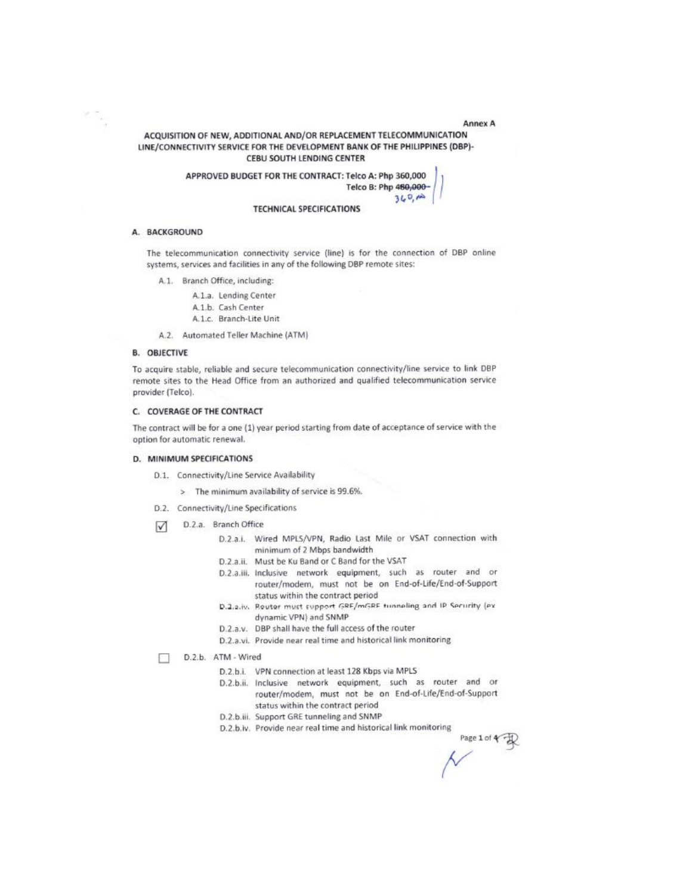Annex A

## ACQUISITION OF NEW, ADDITIONAL AND/OR REPLACEMENT TELECOMMUNICATION LINE/CONNECTIVITY SERVICE FOR THE DEVELOPMENT BANK OF THE PHILIPPINES (DBP)-CEBU SOUTH LENDING CENTER

APPROVED BUDGET FOR THE CONTRACT: Telco A: Php 360,000 Telco B: Php 480,000- $360,10$ 

#### **TECHNICAL SPECIFICATIONS**

#### A. BACKGROUND

The telecommunication connectivity service (line) is for the connection of DBP online systems, services and facilities in any of the following DBP remote sites:

A.1. Branch Office, including:

A.1.a. Lending Center A.1.b. Cash Center A.1.c. Branch-Lite Unit

A.2. Automated Teller Machine (ATM)

#### **B. OBJECTIVE**

To acquire stable, reliable and secure telecommunication connectivity/line service to link DBP remote sites to the Head Office from an authorized and qualified telecommunication service provider (Telco).

#### C. COVERAGE OF THE CONTRACT

The contract will be for a one (1) year period starting from date of acceptance of service with the option for automatic renewal.

#### D. MINIMUM SPECIFICATIONS

- D.1. Connectivity/Line Service Availability
	- > The minimum availability of service is 99.6%.
- D.2. Connectivity/Line Specifications
- D.2.a. Branch Office  $\sqrt{ }$ 
	- D.2.a.i. Wired MPLS/VPN, Radio Last Mile or VSAT connection with minimum of 2 Mbps bandwidth
	- D.2.a.ii. Must be Ku Band or C Band for the VSAT
	- D.2.a.iii. Inclusive network equipment, such as router and or router/modem, must not be on End-of-Life/End-of-Support status within the contract period
	- D.2.2.iv. Router must support GRE/mGRE tunnaling and IP Security (ex dynamic VPN) and SNMP
	- D.2.a.v. DBP shall have the full access of the router
	- D.2.a.vi. Provide near real time and historical link monitoring
- D.2.b. ATM Wired п
	- D.2.b.i. VPN connection at least 128 Kbps via MPLS
	- D.2.b.ii. Inclusive network equipment, such as router and or router/modem, must not be on End-of-Life/End-of-Support status within the contract period
	- D.2.b.iii. Support GRE tunneling and SNMP
	- D.2.b.iv. Provide near real time and historical link monitoring

Page 1 of  $\leftarrow$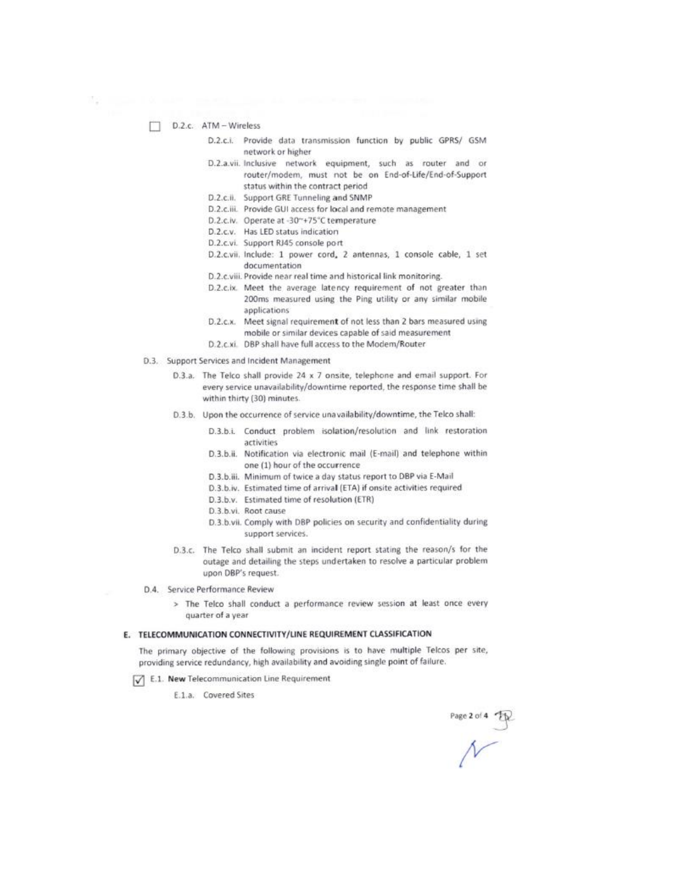- D.2.c. ATM Wireless
	- D.2.c.i. Provide data transmission function by public GPRS/ GSM network or higher
	- D.2.a.vii. Inclusive network equipment, such as router and or router/modem, must not be on End-of-Life/End-of-Support status within the contract period
	- D.2.c.ii. Support GRE Tunneling and SNMP
	- D.2.c.iii. Provide GUI access for local and remote management
	- D.2.c.iv. Operate at -30~+75°C temperature
	- D.2.c.v. Has LED status indication
	- D.2.c.vi. Support RJ45 console port
	- D.2.c.vii. Include: 1 power cord, 2 antennas, 1 console cable, 1 set documentation
	- D.2.c.viii. Provide near real time and historical link monitoring.
	- D.2.c.ix. Meet the average latency requirement of not greater than 200ms measured using the Ping utility or any similar mobile applications
	- D.2.c.x. Meet signal requirement of not less than 2 bars measured using mobile or similar devices capable of said measurement
	- D.2.c.xi. DBP shall have full access to the Modem/Router
- D.3. Support Services and Incident Management
	- D.3.a. The Telco shall provide 24 x 7 onsite, telephone and email support. For every service unavailability/downtime reported, the response time shall be within thirty (30) minutes.
	- D.3.b. Upon the occurrence of service unavailability/downtime, the Telco shall:
		- D.3.b.i. Conduct problem isolation/resolution and link restoration activities
		- D.3.b.ii. Notification via electronic mail (E-mail) and telephone within one (1) hour of the occurrence
		- D.3.b.iii. Minimum of twice a day status report to DBP via E-Mail
		- D.3.b.iv. Estimated time of arrival (ETA) if onsite activities required
		- D.3.b.v. Estimated time of resolution (ETR)
		- D.3.b.vi. Root cause
		- D.3.b.vii. Comply with DBP policies on security and confidentiality during support services.
	- D.3.c. The Telco shall submit an incident report stating the reason/s for the outage and detailing the steps undertaken to resolve a particular problem upon DBP's request.
- D.4. Service Performance Review
	- > The Telco shall conduct a performance review session at least once every quarter of a year

#### E. TELECOMMUNICATION CONNECTIVITY/LINE REQUIREMENT CLASSIFICATION

The primary objective of the following provisions is to have multiple Telcos per site, providing service redundancy, high availability and avoiding single point of failure.

- T E.1. New Telecommunication Line Requirement
	- E.1.a. Covered Sites

Page 2 of 4  $\frac{1}{\sqrt{2}}$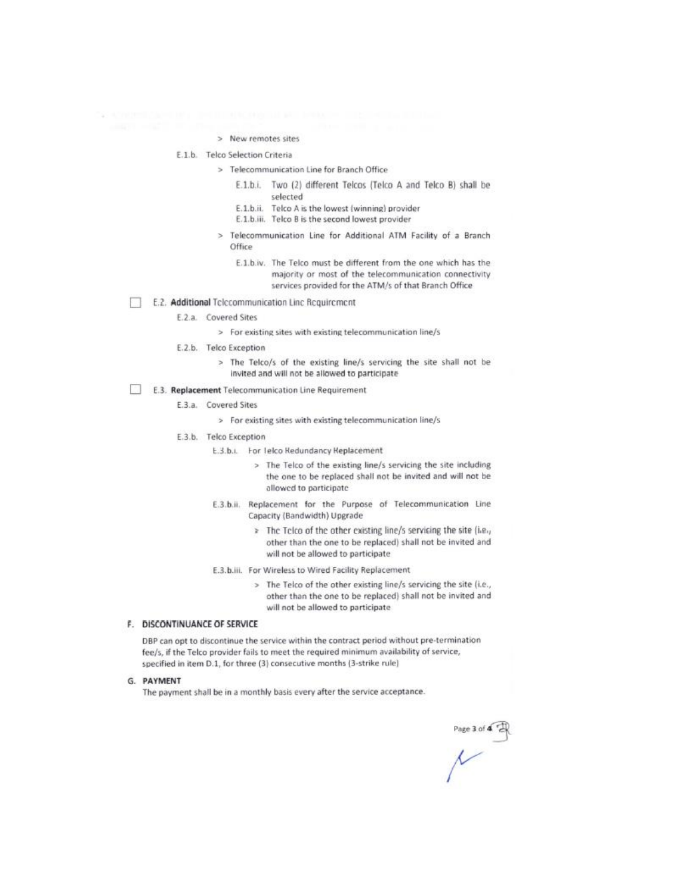> New remotes sites

E.1.b. Telco Selection Criteria

- > Telecommunication Line for Branch Office
	- E.1.b.i. Two (2) different Telcos (Telco A and Telco B) shall be selected
	- E.1.b.ii. Telco A is the lowest (winning) provider
	- E.1.b.iii. Telco B is the second lowest provider
- Telecommunication Line for Additional ATM Facility of a Branch  $\infty$ Office
	- E.1.b.iv. The Telco must be different from the one which has the majority or most of the telecommunication connectivity services provided for the ATM/s of that Branch Office
- E.2. Additional Telecommunication Line Requirement п
	- E.2.a. Covered Sites

> For existing sites with existing telecommunication line/s

- E.2.b. Telco Exception
	- > The Telco/s of the existing line/s servicing the site shall not be invited and will not be allowed to participate
- n E.3. Replacement Telecommunication Line Requirement
	- E.3.a. Covered Sites
		- > For existing sites with existing telecommunication line/s
	- E.3.b. Telco Exception
		- E.3.b.i. For Telco Redundancy Replacement
			- > The Telco of the existing line/s servicing the site including the one to be replaced shall not be invited and will not be allowed to participate
		- E.3.b.ii. Replacement for the Purpose of Telecommunication Line Capacity (Bandwidth) Upgrade
			- The Telco of the other existing line/s servicing the site (i.e., other than the one to be replaced) shall not be invited and will not be allowed to participate
		- E.3.b.iii. For Wireless to Wired Facility Replacement
			- > The Telco of the other existing line/s servicing the site (i.e., other than the one to be replaced) shall not be invited and will not be allowed to participate

## F. DISCONTINUANCE OF SERVICE

DBP can opt to discontinue the service within the contract period without pre-termination fee/s, if the Telco provider fails to meet the required minimum availability of service, specified in item D.1, for three (3) consecutive months (3-strike rule)

#### G. PAYMENT

The payment shall be in a monthly basis every after the service acceptance.

Page 3 of  $\overline{A}$